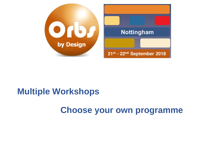## **Choose your own programme**

## **Multiple Workshops**

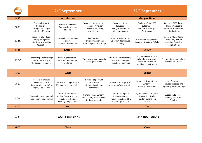|       | 21 <sup>st</sup> September                                                                   |                                                                                                       |                                                                                        | 22 <sup>nd</sup> September                                                                 |                                                                                                       |                                                                                              |
|-------|----------------------------------------------------------------------------------------------|-------------------------------------------------------------------------------------------------------|----------------------------------------------------------------------------------------|--------------------------------------------------------------------------------------------|-------------------------------------------------------------------------------------------------------|----------------------------------------------------------------------------------------------|
| 8.30  | <b>Introduction</b>                                                                          |                                                                                                       |                                                                                        | <b>Gadget Show</b>                                                                         |                                                                                                       |                                                                                              |
| 9.00  | Success in Breast<br>$Reduction-$<br>Designs, Technique<br>selection, Mark-up                | Success in LD Flap -<br>Planning, Dissection,<br>Shaping                                              | Success in Mastectomy-<br>Technique / Incision<br>selection, Reducing<br>complications | Success in Breast<br>Reduction-<br>Designs, Technique<br>selection, Mark-up                | Revision of poor BCS<br>outcomes-<br>Options, Local flaps,<br>Fat transfer                            | Success in DIEP flaps -<br>- Interpreting scans<br>- Perforator selection<br>- Raising flaps |
| 10.00 | Success in DIEP flaps -<br>- Interpreting scans<br>- Perforator selection<br>- Raising flaps | <b>Success in Symmetrising</b><br>Surgery $-$<br>Mark-up, Techniques                                  | Fat Transfer-<br>Harvest, Injection and<br>improving results, storage                  | Breast Augmentation -<br>Selection, Techniques,<br><b>Markings</b>                         | Buttock and Thigh Flaps-<br>Marking, Selection, Pitfalls                                              | Success in Mastectomy-<br>Technique / Incision<br>selection, Reducing<br>complications       |
| 11.00 | Coffee                                                                                       |                                                                                                       |                                                                                        | Coffee                                                                                     |                                                                                                       |                                                                                              |
| 11.30 | Chest wall perforator flaps<br>Indications, Designs,<br>Selection, Technique                 | Breast Augmentation -<br>Selection, Techniques,<br><b>Markings</b>                                    | Therapeutic mammaplasty<br>Techniques, Pitfalls                                        | Chest wall perforator flaps<br>Indications, Designs,<br>Selection, Technique               | Success in Pre-pectoral<br>Implant Reconstruction-<br>Selection, technique,<br>avoiding complications | Therapeutic mammaplasty<br>Techniques, Pitfalls                                              |
|       |                                                                                              |                                                                                                       |                                                                                        |                                                                                            |                                                                                                       |                                                                                              |
| 1.00  |                                                                                              | Lunch                                                                                                 |                                                                                        |                                                                                            | Lunch                                                                                                 |                                                                                              |
| 2.00  | Success in Implant<br>Reconstruction-<br>Implant selection, DTI v<br>Staged, Tips & Tricks   | Buttock and Thigh Flaps-<br>Marking, Selection, Pitfalls                                              | Revision of poor BCS<br>outcomes-<br>Options, Local flaps,<br>Fat transfer             | Success in mastopexy and<br>mastopexy/augmentation                                         | Success in Symmetrising<br>Surgery $-$<br>Mark-up, Techniques                                         | Fat Transfer-<br>Harvest, Injection and<br>improving results, storage                        |
| 3.00  | Success in mastopexy and<br>mastopexy/augmentation                                           | Success in Pre-pectoral<br>Implant Reconstruction-<br>Selection, technique,<br>avoiding complications | Lymphoedema Surgery -<br>Liposuction, Node transfer,<br>Setting up a service           | Success in Implant<br>Reconstruction-<br>Implant selection, DTI v<br>Staged, Tips & Tricks | Lymphoedema Surgery -<br>Liposuction, Node<br>transfer, Setting up a<br>service                       | Success in LD Flap -<br>Planning, Dissection,<br>Shaping                                     |
| 4.00  |                                                                                              | <b>Tea</b>                                                                                            |                                                                                        |                                                                                            | Tea                                                                                                   |                                                                                              |
| 4.30  |                                                                                              | <b>Case Discussions</b>                                                                               |                                                                                        |                                                                                            | <b>Case Discussions</b>                                                                               |                                                                                              |